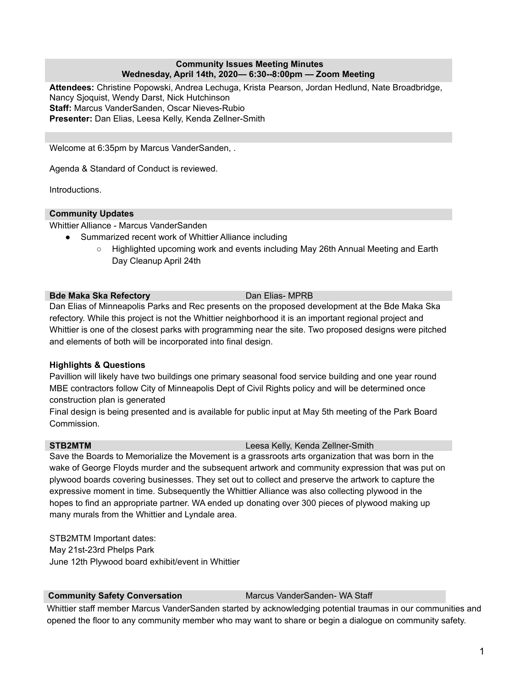## **Community Issues Meeting Minutes Wednesday, April 14th, 2020— 6:30--8:00pm — Zoom Meeting**

**Attendees:** Christine Popowski, Andrea Lechuga, Krista Pearson, Jordan Hedlund, Nate Broadbridge, Nancy Sjoquist, Wendy Darst, Nick Hutchinson **Staff:** Marcus VanderSanden, Oscar Nieves-Rubio **Presenter:** Dan Elias, Leesa Kelly, Kenda Zellner-Smith

Welcome at 6:35pm by Marcus VanderSanden, .

Agenda & Standard of Conduct is reviewed.

Introductions.

## **Community Updates**

Whittier Alliance - Marcus VanderSanden

- Summarized recent work of Whittier Alliance including
	- Highlighted upcoming work and events including May 26th Annual Meeting and Earth Day Cleanup April 24th

## **Bde Maka Ska Refectory** Dan Elias- MPRB

Dan Elias of Minneapolis Parks and Rec presents on the proposed development at the Bde Maka Ska refectory. While this project is not the Whittier neighborhood it is an important regional project and Whittier is one of the closest parks with programming near the site. Two proposed designs were pitched and elements of both will be incorporated into final design.

# **Highlights & Questions**

Pavillion will likely have two buildings one primary seasonal food service building and one year round MBE contractors follow City of Minneapolis Dept of Civil Rights policy and will be determined once construction plan is generated

Final design is being presented and is available for public input at May 5th meeting of the Park Board Commission.

# **STB2MTM** Leesa Kelly, Kenda Zellner-Smith

Save the Boards to Memorialize the Movement is a grassroots arts organization that was born in the wake of George Floyds murder and the subsequent artwork and community expression that was put on plywood boards covering businesses. They set out to collect and preserve the artwork to capture the expressive moment in time. Subsequently the Whittier Alliance was also collecting plywood in the hopes to find an appropriate partner. WA ended up donating over 300 pieces of plywood making up many murals from the Whittier and Lyndale area.

STB2MTM Important dates: May 21st-23rd Phelps Park June 12th Plywood board exhibit/event in Whittier

# **Community Safety Conversation** Marcus VanderSanden- WA Staff

Whittier staff member Marcus VanderSanden started by acknowledging potential traumas in our communities and opened the floor to any community member who may want to share or begin a dialogue on community safety.